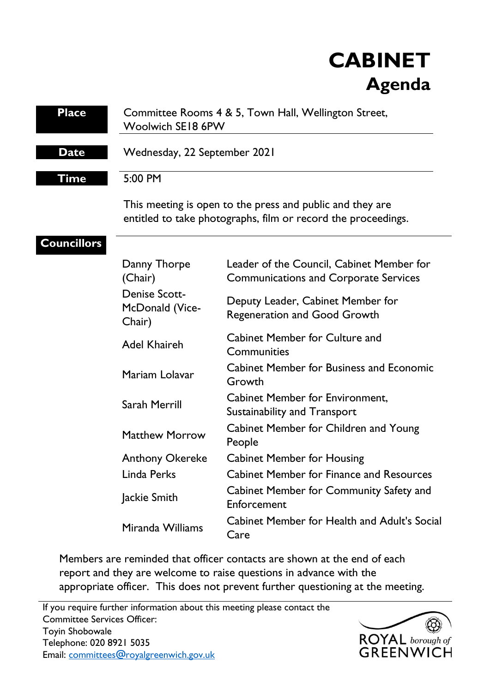# **CABINET Agenda**

### Place **Committee Rooms 4 & 5, Town Hall, Wellington Street,** Woolwich SE18 6PW

Date Wednesday, 22 September 2021

### **Time** 5:00 PM

This meeting is open to the press and public and they are entitled to take photographs, film or record the proceedings.

### **Councillors**

| Danny Thorpe<br>(Chair)                           | Leader of the Council, Cabinet Member for<br><b>Communications and Corporate Services</b> |
|---------------------------------------------------|-------------------------------------------------------------------------------------------|
| <b>Denise Scott-</b><br>McDonald (Vice-<br>Chair) | Deputy Leader, Cabinet Member for<br><b>Regeneration and Good Growth</b>                  |
| Adel Khaireh                                      | <b>Cabinet Member for Culture and</b><br>Communities                                      |
| Mariam Lolavar                                    | <b>Cabinet Member for Business and Economic</b><br>Growth                                 |
| <b>Sarah Merrill</b>                              | <b>Cabinet Member for Environment,</b><br>Sustainability and Transport                    |
| <b>Matthew Morrow</b>                             | Cabinet Member for Children and Young<br>People                                           |
| <b>Anthony Okereke</b>                            | <b>Cabinet Member for Housing</b>                                                         |
| Linda Perks                                       | <b>Cabinet Member for Finance and Resources</b>                                           |
| Jackie Smith                                      | Cabinet Member for Community Safety and<br>Enforcement                                    |
| Miranda Williams                                  | <b>Cabinet Member for Health and Adult's Social</b><br>Care                               |

Members are reminded that officer contacts are shown at the end of each report and they are welcome to raise questions in advance with the appropriate officer. This does not prevent further questioning at the meeting.

If you require further information about this meeting please contact the Committee Services Officer: Toyin Shobowale Telephone: 020 8921 5035 Email: [committees@royalgreenwich.gov.uk](mailto:committees@royalgreenwich.gov.uk)

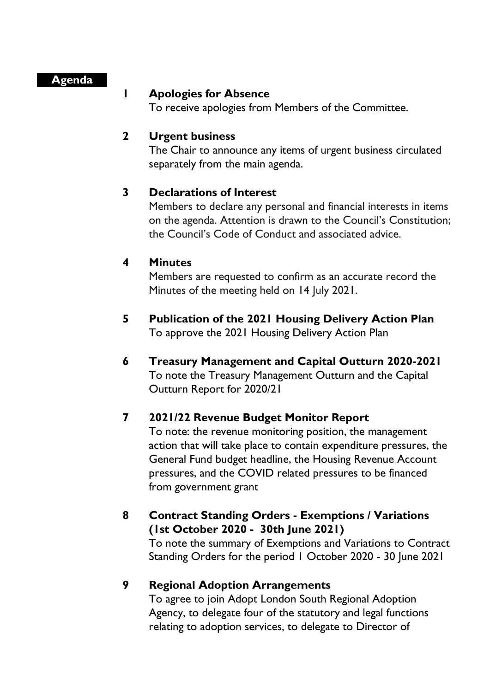### **Agenda**

### **1 Apologies for Absence**

To receive apologies from Members of the Committee.

### **2 Urgent business**

The Chair to announce any items of urgent business circulated separately from the main agenda.

### **3 Declarations of Interest**

Members to declare any personal and financial interests in items on the agenda. Attention is drawn to the Council's Constitution; the Council's Code of Conduct and associated advice.

### **4 Minutes**

Members are requested to confirm as an accurate record the Minutes of the meeting held on 14 July 2021.

- **5 Publication of the 2021 Housing Delivery Action Plan**  To approve the 2021 Housing Delivery Action Plan
- **6 Treasury Management and Capital Outturn 2020-2021**  To note the Treasury Management Outturn and the Capital Outturn Report for 2020/21

### **7 2021/22 Revenue Budget Monitor Report**

To note: the revenue monitoring position, the management action that will take place to contain expenditure pressures, the General Fund budget headline, the Housing Revenue Account pressures, and the COVID related pressures to be financed from government grant

### **8 Contract Standing Orders - Exemptions / Variations (1st October 2020 - 30th June 2021)**

To note the summary of Exemptions and Variations to Contract Standing Orders for the period 1 October 2020 - 30 June 2021

### **9 Regional Adoption Arrangements**

To agree to join Adopt London South Regional Adoption Agency, to delegate four of the statutory and legal functions relating to adoption services, to delegate to Director of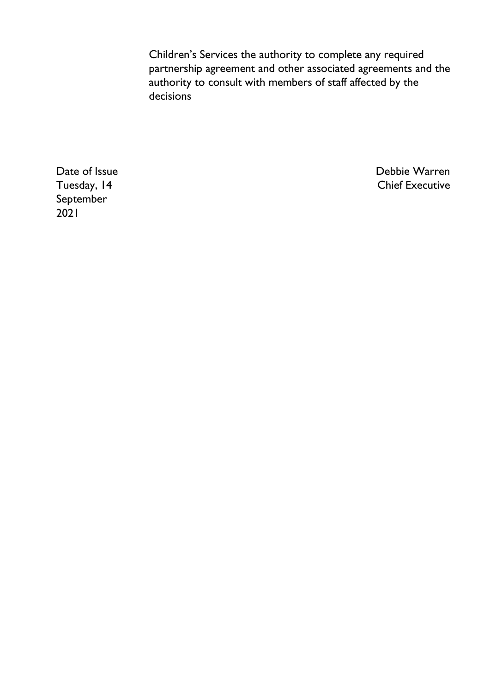Children's Services the authority to complete any required partnership agreement and other associated agreements and the authority to consult with members of staff affected by the decisions

Date of Issue Tuesday, 14 September 2021

Debbie Warren Chief Executive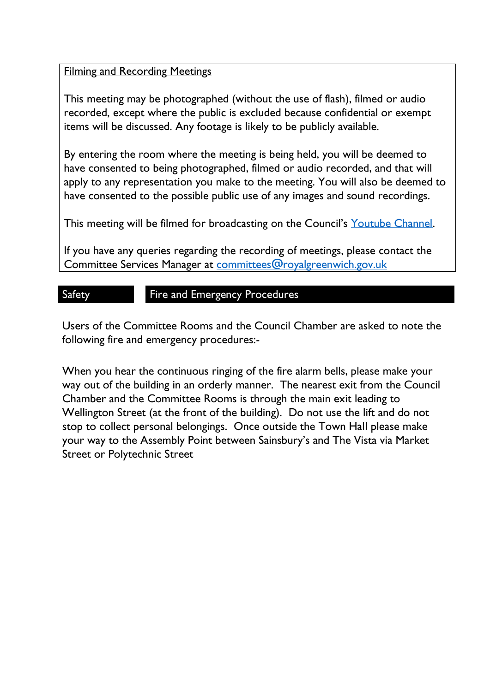### Filming and Recording Meetings

This meeting may be photographed (without the use of flash), filmed or audio recorded, except where the public is excluded because confidential or exempt items will be discussed. Any footage is likely to be publicly available.

By entering the room where the meeting is being held, you will be deemed to have consented to being photographed, filmed or audio recorded, and that will apply to any representation you make to the meeting. You will also be deemed to have consented to the possible public use of any images and sound recordings.

This meeting will be filmed for broadcasting on the Council's [Youtube Channel.](https://www.youtube.com/user/royalgreenwich)

If you have any queries regarding the recording of meetings, please contact the Committee Services Manager at [committees@royalgreenwich.gov.uk](mailto:committees@royalgreenwich.gov.uk) 

### Safety **Fire and Emergency Procedures**

Users of the Committee Rooms and the Council Chamber are asked to note the following fire and emergency procedures:-

When you hear the continuous ringing of the fire alarm bells, please make your way out of the building in an orderly manner. The nearest exit from the Council Chamber and the Committee Rooms is through the main exit leading to Wellington Street (at the front of the building). Do not use the lift and do not stop to collect personal belongings. Once outside the Town Hall please make your way to the Assembly Point between Sainsbury's and The Vista via Market Street or Polytechnic Street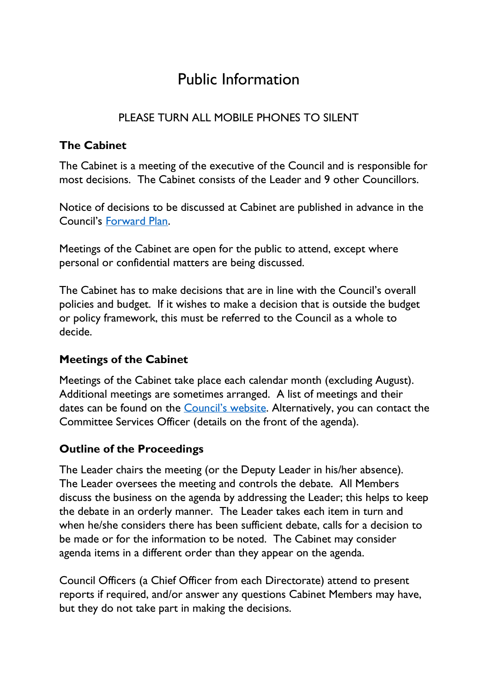## Public Information

### PLEASE TURN ALL MOBILE PHONES TO SILENT

### **The Cabinet**

The Cabinet is a meeting of the executive of the Council and is responsible for most decisions. The Cabinet consists of the Leader and 9 other Councillors.

Notice of decisions to be discussed at Cabinet are published in advance in the Council's [Forward Plan.](https://committees.royalgreenwich.gov.uk/ForwardPlans.aspx)

Meetings of the Cabinet are open for the public to attend, except where personal or confidential matters are being discussed.

The Cabinet has to make decisions that are in line with the Council's overall policies and budget. If it wishes to make a decision that is outside the budget or policy framework, this must be referred to the Council as a whole to decide.

### **Meetings of the Cabinet**

Meetings of the Cabinet take place each calendar month (excluding August). Additional meetings are sometimes arranged. A list of meetings and their dates can be found on the **[Council's](https://committees.royalgreenwich.gov.uk/CalendarofMeetings.aspx) website**. Alternatively, you can contact the Committee Services Officer (details on the front of the agenda).

### **Outline of the Proceedings**

The Leader chairs the meeting (or the Deputy Leader in his/her absence). The Leader oversees the meeting and controls the debate. All Members discuss the business on the agenda by addressing the Leader; this helps to keep the debate in an orderly manner. The Leader takes each item in turn and when he/she considers there has been sufficient debate, calls for a decision to be made or for the information to be noted. The Cabinet may consider agenda items in a different order than they appear on the agenda.

Council Officers (a Chief Officer from each Directorate) attend to present reports if required, and/or answer any questions Cabinet Members may have, but they do not take part in making the decisions.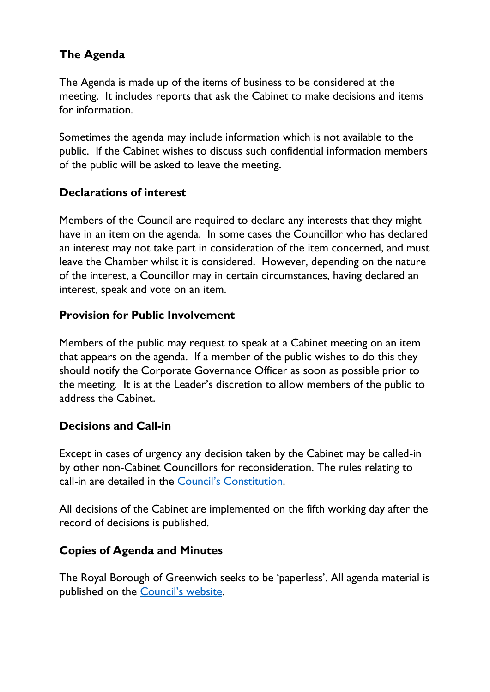### **The Agenda**

The Agenda is made up of the items of business to be considered at the meeting. It includes reports that ask the Cabinet to make decisions and items for information.

Sometimes the agenda may include information which is not available to the public. If the Cabinet wishes to discuss such confidential information members of the public will be asked to leave the meeting.

### **Declarations of interest**

Members of the Council are required to declare any interests that they might have in an item on the agenda. In some cases the Councillor who has declared an interest may not take part in consideration of the item concerned, and must leave the Chamber whilst it is considered. However, depending on the nature of the interest, a Councillor may in certain circumstances, having declared an interest, speak and vote on an item.

### **Provision for Public Involvement**

Members of the public may request to speak at a Cabinet meeting on an item that appears on the agenda. If a member of the public wishes to do this they should notify the Corporate Governance Officer as soon as possible prior to the meeting. It is at the Leader's discretion to allow members of the public to address the Cabinet.

### **Decisions and Call-in**

Except in cases of urgency any decision taken by the Cabinet may be called-in by other non-Cabinet Councillors for reconsideration. The rules relating to call-in are detailed in the [Council's Constitution](http://www.royalgreenwich.gov.uk/downloads/file/2792/royal_borough_of_greenwich_constitution_part_four).

All decisions of the Cabinet are implemented on the fifth working day after the record of decisions is published.

### **Copies of Agenda and Minutes**

The Royal Borough of Greenwich seeks to be 'paperless'. All agenda material is published on the [Council's website](https://committees.royalgreenwich.gov.uk/Committees/tabid/62/ctl/ViewCMIS_CommitteeDetails/mid/381/id/72/Default.aspx).